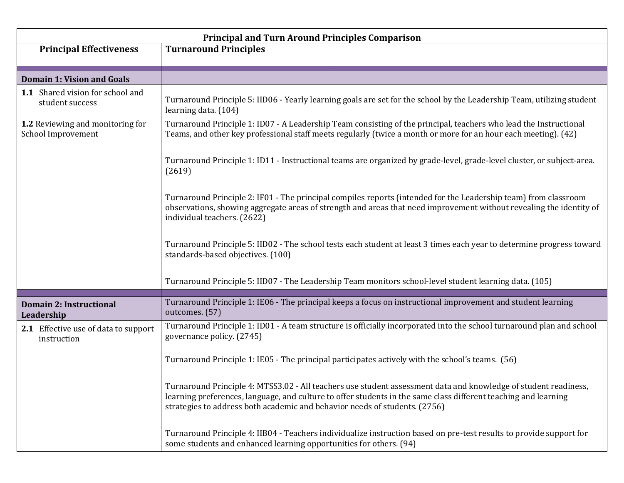| <b>Principal and Turn Around Principles Comparison</b> |                                                                                                                                                                                                                                                                                                                  |
|--------------------------------------------------------|------------------------------------------------------------------------------------------------------------------------------------------------------------------------------------------------------------------------------------------------------------------------------------------------------------------|
| <b>Principal Effectiveness</b>                         | <b>Turnaround Principles</b>                                                                                                                                                                                                                                                                                     |
|                                                        |                                                                                                                                                                                                                                                                                                                  |
| <b>Domain 1: Vision and Goals</b>                      |                                                                                                                                                                                                                                                                                                                  |
| 1.1 Shared vision for school and<br>student success    | Turnaround Principle 5: IID06 - Yearly learning goals are set for the school by the Leadership Team, utilizing student<br>learning data. (104)                                                                                                                                                                   |
| 1.2 Reviewing and monitoring for<br>School Improvement | Turnaround Principle 1: ID07 - A Leadership Team consisting of the principal, teachers who lead the Instructional<br>Teams, and other key professional staff meets regularly (twice a month or more for an hour each meeting). (42)                                                                              |
|                                                        | Turnaround Principle 1: ID11 - Instructional teams are organized by grade-level, grade-level cluster, or subject-area.<br>(2619)                                                                                                                                                                                 |
|                                                        | Turnaround Principle 2: IF01 - The principal compiles reports (intended for the Leadership team) from classroom<br>observations, showing aggregate areas of strength and areas that need improvement without revealing the identity of<br>individual teachers. (2622)                                            |
|                                                        | Turnaround Principle 5: IID02 - The school tests each student at least 3 times each year to determine progress toward<br>standards-based objectives. (100)                                                                                                                                                       |
|                                                        | Turnaround Principle 5: IID07 - The Leadership Team monitors school-level student learning data. (105)                                                                                                                                                                                                           |
| <b>Domain 2: Instructional</b><br>Leadership           | Turnaround Principle 1: IE06 - The principal keeps a focus on instructional improvement and student learning<br>outcomes. (57)                                                                                                                                                                                   |
| 2.1 Effective use of data to support<br>instruction    | Turnaround Principle 1: ID01 - A team structure is officially incorporated into the school turnaround plan and school<br>governance policy. (2745)                                                                                                                                                               |
|                                                        | Turnaround Principle 1: IE05 - The principal participates actively with the school's teams. (56)                                                                                                                                                                                                                 |
|                                                        | Turnaround Principle 4: MTSS3.02 - All teachers use student assessment data and knowledge of student readiness,<br>learning preferences, language, and culture to offer students in the same class different teaching and learning<br>strategies to address both academic and behavior needs of students. (2756) |
|                                                        | Turnaround Principle 4: IIB04 - Teachers individualize instruction based on pre-test results to provide support for<br>some students and enhanced learning opportunities for others. (94)                                                                                                                        |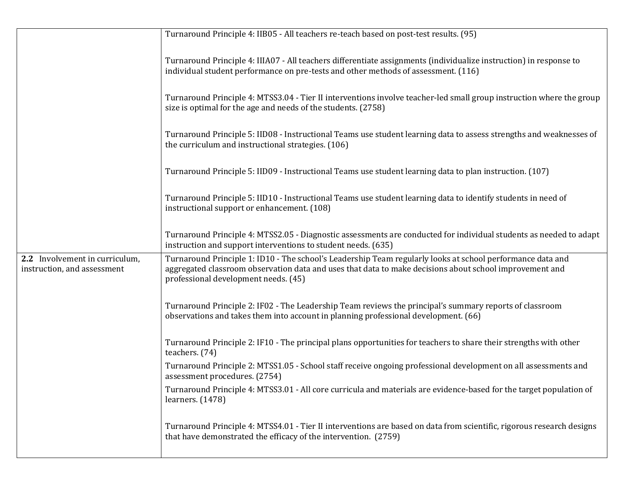|                                                               | Turnaround Principle 4: IIB05 - All teachers re-teach based on post-test results. (95)                                                                                                                                                                        |
|---------------------------------------------------------------|---------------------------------------------------------------------------------------------------------------------------------------------------------------------------------------------------------------------------------------------------------------|
|                                                               | Turnaround Principle 4: IIIA07 - All teachers differentiate assignments (individualize instruction) in response to<br>individual student performance on pre-tests and other methods of assessment. (116)                                                      |
|                                                               | Turnaround Principle 4: MTSS3.04 - Tier II interventions involve teacher-led small group instruction where the group<br>size is optimal for the age and needs of the students. (2758)                                                                         |
|                                                               | Turnaround Principle 5: IID08 - Instructional Teams use student learning data to assess strengths and weaknesses of<br>the curriculum and instructional strategies. (106)                                                                                     |
|                                                               | Turnaround Principle 5: IID09 - Instructional Teams use student learning data to plan instruction. (107)                                                                                                                                                      |
|                                                               | Turnaround Principle 5: IID10 - Instructional Teams use student learning data to identify students in need of<br>instructional support or enhancement. (108)                                                                                                  |
|                                                               | Turnaround Principle 4: MTSS2.05 - Diagnostic assessments are conducted for individual students as needed to adapt<br>instruction and support interventions to student needs. (635)                                                                           |
| 2.2 Involvement in curriculum,<br>instruction, and assessment | Turnaround Principle 1: ID10 - The school's Leadership Team regularly looks at school performance data and<br>aggregated classroom observation data and uses that data to make decisions about school improvement and<br>professional development needs. (45) |
|                                                               | Turnaround Principle 2: IF02 - The Leadership Team reviews the principal's summary reports of classroom<br>observations and takes them into account in planning professional development. (66)                                                                |
|                                                               | Turnaround Principle 2: IF10 - The principal plans opportunities for teachers to share their strengths with other<br>teachers. (74)                                                                                                                           |
|                                                               | Turnaround Principle 2: MTSS1.05 - School staff receive ongoing professional development on all assessments and<br>assessment procedures. (2754)                                                                                                              |
|                                                               | Turnaround Principle 4: MTSS3.01 - All core curricula and materials are evidence-based for the target population of<br>learners. $(1478)$                                                                                                                     |
|                                                               | Turnaround Principle 4: MTSS4.01 - Tier II interventions are based on data from scientific, rigorous research designs<br>that have demonstrated the efficacy of the intervention. (2759)                                                                      |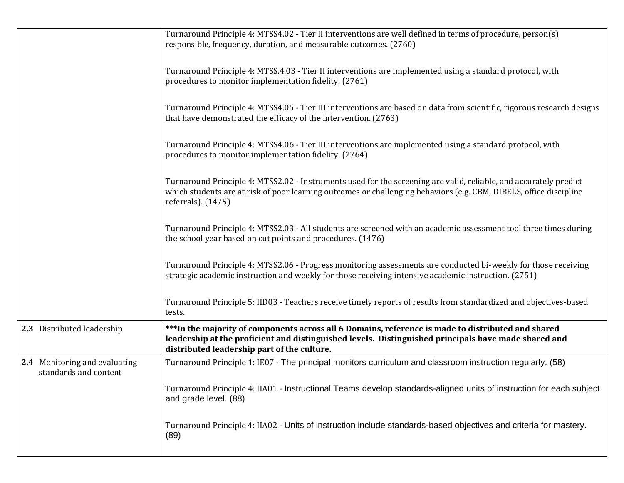|                                                        | Turnaround Principle 4: MTSS4.02 - Tier II interventions are well defined in terms of procedure, person(s)<br>responsible, frequency, duration, and measurable outcomes. (2760)                                                                               |
|--------------------------------------------------------|---------------------------------------------------------------------------------------------------------------------------------------------------------------------------------------------------------------------------------------------------------------|
|                                                        | Turnaround Principle 4: MTSS.4.03 - Tier II interventions are implemented using a standard protocol, with<br>procedures to monitor implementation fidelity. (2761)                                                                                            |
|                                                        | Turnaround Principle 4: MTSS4.05 - Tier III interventions are based on data from scientific, rigorous research designs<br>that have demonstrated the efficacy of the intervention. (2763)                                                                     |
|                                                        | Turnaround Principle 4: MTSS4.06 - Tier III interventions are implemented using a standard protocol, with<br>procedures to monitor implementation fidelity. (2764)                                                                                            |
|                                                        | Turnaround Principle 4: MTSS2.02 - Instruments used for the screening are valid, reliable, and accurately predict<br>which students are at risk of poor learning outcomes or challenging behaviors (e.g. CBM, DIBELS, office discipline<br>referrals). (1475) |
|                                                        | Turnaround Principle 4: MTSS2.03 - All students are screened with an academic assessment tool three times during<br>the school year based on cut points and procedures. (1476)                                                                                |
|                                                        | Turnaround Principle 4: MTSS2.06 - Progress monitoring assessments are conducted bi-weekly for those receiving<br>strategic academic instruction and weekly for those receiving intensive academic instruction. (2751)                                        |
|                                                        | Turnaround Principle 5: IID03 - Teachers receive timely reports of results from standardized and objectives-based<br>tests.                                                                                                                                   |
| 2.3 Distributed leadership                             | *** In the majority of components across all 6 Domains, reference is made to distributed and shared<br>leadership at the proficient and distinguished levels. Distinguished principals have made shared and<br>distributed leadership part of the culture.    |
| 2.4 Monitoring and evaluating<br>standards and content | Turnaround Principle 1: IE07 - The principal monitors curriculum and classroom instruction regularly. (58)                                                                                                                                                    |
|                                                        | Turnaround Principle 4: IIA01 - Instructional Teams develop standards-aligned units of instruction for each subject<br>and grade level. (88)                                                                                                                  |
|                                                        | Turnaround Principle 4: IIA02 - Units of instruction include standards-based objectives and criteria for mastery.<br>(89)                                                                                                                                     |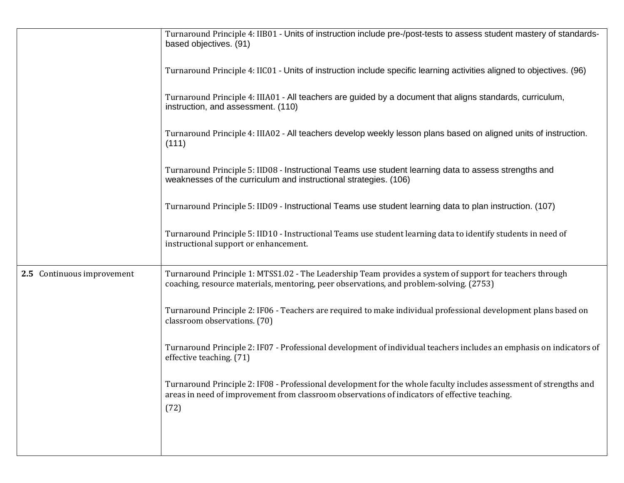|                            | Turnaround Principle 4: IIB01 - Units of instruction include pre-/post-tests to assess student mastery of standards-<br>based objectives. (91)                                                                              |
|----------------------------|-----------------------------------------------------------------------------------------------------------------------------------------------------------------------------------------------------------------------------|
|                            | Turnaround Principle 4: IIC01 - Units of instruction include specific learning activities aligned to objectives. (96)                                                                                                       |
|                            | Turnaround Principle 4: IIIA01 - All teachers are guided by a document that aligns standards, curriculum,<br>instruction, and assessment. (110)                                                                             |
|                            | Turnaround Principle 4: IIIA02 - All teachers develop weekly lesson plans based on aligned units of instruction.<br>(111)                                                                                                   |
|                            | Turnaround Principle 5: IID08 - Instructional Teams use student learning data to assess strengths and<br>weaknesses of the curriculum and instructional strategies. (106)                                                   |
|                            | Turnaround Principle 5: IID09 - Instructional Teams use student learning data to plan instruction. (107)                                                                                                                    |
|                            | Turnaround Principle 5: IID10 - Instructional Teams use student learning data to identify students in need of<br>instructional support or enhancement.                                                                      |
| 2.5 Continuous improvement | Turnaround Principle 1: MTSS1.02 - The Leadership Team provides a system of support for teachers through<br>coaching, resource materials, mentoring, peer observations, and problem-solving. (2753)                         |
|                            | Turnaround Principle 2: IF06 - Teachers are required to make individual professional development plans based on<br>classroom observations. (70)                                                                             |
|                            | Turnaround Principle 2: IF07 - Professional development of individual teachers includes an emphasis on indicators of<br>effective teaching. (71)                                                                            |
|                            | Turnaround Principle 2: IF08 - Professional development for the whole faculty includes assessment of strengths and<br>areas in need of improvement from classroom observations of indicators of effective teaching.<br>(72) |
|                            |                                                                                                                                                                                                                             |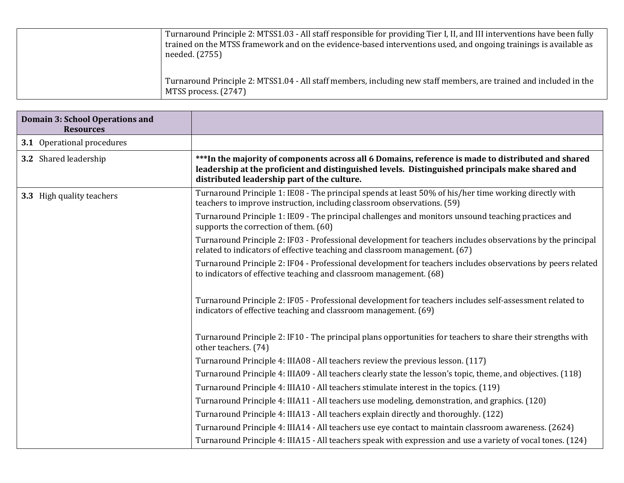| Turnaround Principle 2: MTSS1.03 - All staff responsible for providing Tier I, II, and III interventions have been fully<br>trained on the MTSS framework and on the evidence-based interventions used, and ongoing trainings is available as<br>needed. (2755) |
|-----------------------------------------------------------------------------------------------------------------------------------------------------------------------------------------------------------------------------------------------------------------|
| Turnaround Principle 2: MTSS1.04 - All staff members, including new staff members, are trained and included in the<br>MTSS process. (2747)                                                                                                                      |

| <b>Domain 3: School Operations and</b><br><b>Resources</b> |                                                                                                                                                                                                                                                      |
|------------------------------------------------------------|------------------------------------------------------------------------------------------------------------------------------------------------------------------------------------------------------------------------------------------------------|
| <b>3.1</b> Operational procedures                          |                                                                                                                                                                                                                                                      |
| 3.2 Shared leadership                                      | ***In the majority of components across all 6 Domains, reference is made to distributed and shared<br>leadership at the proficient and distinguished levels. Distinguished principals make shared and<br>distributed leadership part of the culture. |
| 3.3 High quality teachers                                  | Turnaround Principle 1: IE08 - The principal spends at least 50% of his/her time working directly with<br>teachers to improve instruction, including classroom observations. (59)                                                                    |
|                                                            | Turnaround Principle 1: IE09 - The principal challenges and monitors unsound teaching practices and<br>supports the correction of them. (60)                                                                                                         |
|                                                            | Turnaround Principle 2: IF03 - Professional development for teachers includes observations by the principal<br>related to indicators of effective teaching and classroom management. (67)                                                            |
|                                                            | Turnaround Principle 2: IF04 - Professional development for teachers includes observations by peers related<br>to indicators of effective teaching and classroom management. (68)                                                                    |
|                                                            | Turnaround Principle 2: IF05 - Professional development for teachers includes self-assessment related to<br>indicators of effective teaching and classroom management. (69)                                                                          |
|                                                            | Turnaround Principle 2: IF10 - The principal plans opportunities for teachers to share their strengths with<br>other teachers. (74)                                                                                                                  |
|                                                            | Turnaround Principle 4: IIIA08 - All teachers review the previous lesson. (117)                                                                                                                                                                      |
|                                                            | Turnaround Principle 4: IIIA09 - All teachers clearly state the lesson's topic, theme, and objectives. (118)                                                                                                                                         |
|                                                            | Turnaround Principle 4: IIIA10 - All teachers stimulate interest in the topics. (119)                                                                                                                                                                |
|                                                            | Turnaround Principle 4: IIIA11 - All teachers use modeling, demonstration, and graphics. (120)                                                                                                                                                       |
|                                                            | Turnaround Principle 4: IIIA13 - All teachers explain directly and thoroughly. (122)                                                                                                                                                                 |
|                                                            | Turnaround Principle 4: IIIA14 - All teachers use eye contact to maintain classroom awareness. (2624)                                                                                                                                                |
|                                                            | Turnaround Principle 4: IIIA15 - All teachers speak with expression and use a variety of vocal tones. (124)                                                                                                                                          |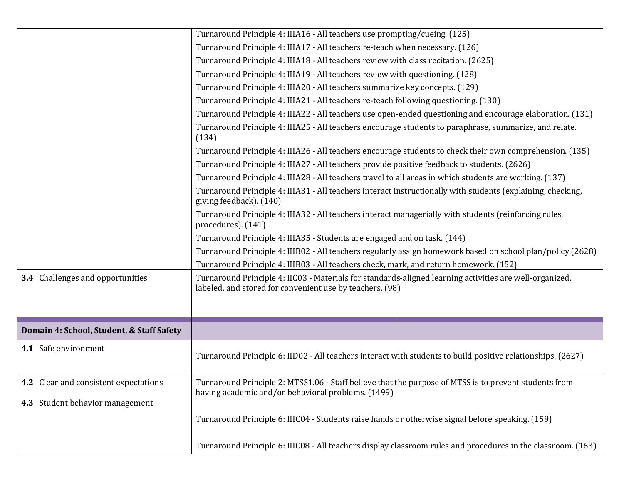|                                           | Turnaround Principle 4: IIIA16 - All teachers use prompting/cueing. (125)                                                                                           |
|-------------------------------------------|---------------------------------------------------------------------------------------------------------------------------------------------------------------------|
|                                           | Turnaround Principle 4: IIIA17 - All teachers re-teach when necessary. (126)                                                                                        |
|                                           | Turnaround Principle 4: IIIA18 - All teachers review with class recitation. (2625)                                                                                  |
|                                           | Turnaround Principle 4: IIIA19 - All teachers review with questioning. (128)                                                                                        |
|                                           | Turnaround Principle 4: IIIA20 - All teachers summarize key concepts. (129)                                                                                         |
|                                           | Turnaround Principle 4: IIIA21 - All teachers re-teach following questioning. (130)                                                                                 |
|                                           | Turnaround Principle 4: IIIA22 - All teachers use open-ended questioning and encourage elaboration. (131)                                                           |
|                                           | Turnaround Principle 4: IIIA25 - All teachers encourage students to paraphrase, summarize, and relate.<br>(134)                                                     |
|                                           | Turnaround Principle 4: IIIA26 - All teachers encourage students to check their own comprehension. (135)                                                            |
|                                           | Turnaround Principle 4: IIIA27 - All teachers provide positive feedback to students. (2626)                                                                         |
|                                           | Turnaround Principle 4: IIIA28 - All teachers travel to all areas in which students are working. (137)                                                              |
|                                           | Turnaround Principle 4: IIIA31 - All teachers interact instructionally with students (explaining, checking,<br>giving feedback). (140)                              |
|                                           | Turnaround Principle 4: IIIA32 - All teachers interact managerially with students (reinforcing rules,<br>procedures). (141)                                         |
|                                           | Turnaround Principle 4: IIIA35 - Students are engaged and on task. (144)                                                                                            |
|                                           | Turnaround Principle 4: IIIB02 - All teachers regularly assign homework based on school plan/policy.(2628)                                                          |
|                                           | Turnaround Principle 4: IIIB03 - All teachers check, mark, and return homework. (152)                                                                               |
| 3.4 Challenges and opportunities          | Turnaround Principle 4: IIC03 - Materials for standards-aligned learning activities are well-organized,<br>labeled, and stored for convenient use by teachers. (98) |
|                                           |                                                                                                                                                                     |
| Domain 4: School, Student, & Staff Safety |                                                                                                                                                                     |
| 4.1 Safe environment                      | Turnaround Principle 6: IID02 - All teachers interact with students to build positive relationships. (2627)                                                         |
| 4.2 Clear and consistent expectations     | Turnaround Principle 2: MTSS1.06 - Staff believe that the purpose of MTSS is to prevent students from<br>having academic and/or behavioral problems. (1499)         |
| 4.3 Student behavior management           |                                                                                                                                                                     |
|                                           | Turnaround Principle 6: IIIC04 - Students raise hands or otherwise signal before speaking. (159)                                                                    |
|                                           | Turnaround Principle 6: IIIC08 - All teachers display classroom rules and procedures in the classroom. (163)                                                        |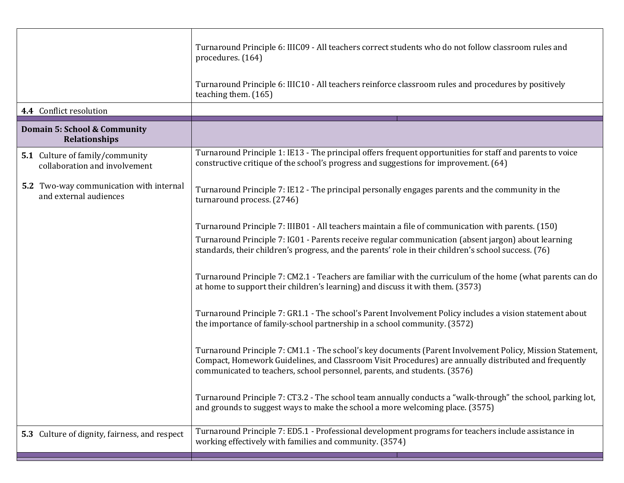|                                                                          | Turnaround Principle 6: IIIC09 - All teachers correct students who do not follow classroom rules and<br>procedures. (164)                                                                                                                                                                       |
|--------------------------------------------------------------------------|-------------------------------------------------------------------------------------------------------------------------------------------------------------------------------------------------------------------------------------------------------------------------------------------------|
|                                                                          | Turnaround Principle 6: IIIC10 - All teachers reinforce classroom rules and procedures by positively<br>teaching them. (165)                                                                                                                                                                    |
| 4.4 Conflict resolution                                                  |                                                                                                                                                                                                                                                                                                 |
| Domain 5: School & Community<br>Relationships                            |                                                                                                                                                                                                                                                                                                 |
| 5.1 Culture of family/community<br>collaboration and involvement         | Turnaround Principle 1: IE13 - The principal offers frequent opportunities for staff and parents to voice<br>constructive critique of the school's progress and suggestions for improvement. (64)                                                                                               |
| <b>5.2</b> Two-way communication with internal<br>and external audiences | Turnaround Principle 7: IE12 - The principal personally engages parents and the community in the<br>turnaround process. (2746)                                                                                                                                                                  |
|                                                                          | Turnaround Principle 7: IIIB01 - All teachers maintain a file of communication with parents. (150)                                                                                                                                                                                              |
|                                                                          | Turnaround Principle 7: IG01 - Parents receive regular communication (absent jargon) about learning<br>standards, their children's progress, and the parents' role in their children's school success. (76)                                                                                     |
|                                                                          | Turnaround Principle 7: CM2.1 - Teachers are familiar with the curriculum of the home (what parents can do<br>at home to support their children's learning) and discuss it with them. (3573)                                                                                                    |
|                                                                          | Turnaround Principle 7: GR1.1 - The school's Parent Involvement Policy includes a vision statement about<br>the importance of family-school partnership in a school community. (3572)                                                                                                           |
|                                                                          | Turnaround Principle 7: CM1.1 - The school's key documents (Parent Involvement Policy, Mission Statement,<br>Compact, Homework Guidelines, and Classroom Visit Procedures) are annually distributed and frequently<br>communicated to teachers, school personnel, parents, and students. (3576) |
|                                                                          | Turnaround Principle 7: CT3.2 - The school team annually conducts a "walk-through" the school, parking lot,<br>and grounds to suggest ways to make the school a more welcoming place. (3575)                                                                                                    |
| 5.3 Culture of dignity, fairness, and respect                            | Turnaround Principle 7: ED5.1 - Professional development programs for teachers include assistance in<br>working effectively with families and community. (3574)                                                                                                                                 |